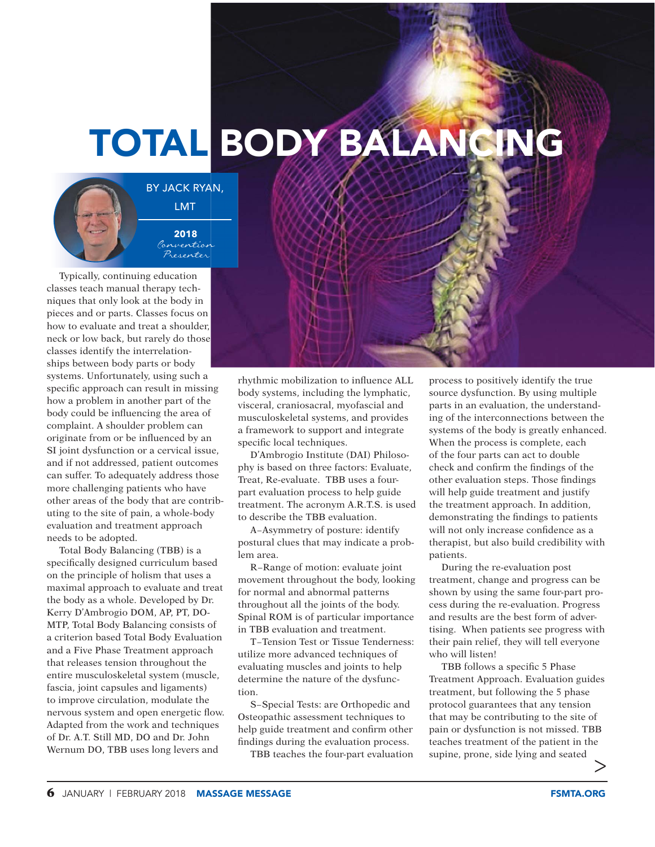## TOTAL BODY BALANCING



BY JACK RYAN, LMT **2018**

> Convention Presenter

Typically, continuing education classes teach manual therapy techniques that only look at the body in pieces and or parts. Classes focus on how to evaluate and treat a shoulder, neck or low back, but rarely do those classes identify the interrelationships between body parts or body systems. Unfortunately, using such a specific approach can result in missing how a problem in another part of the body could be influencing the area of complaint. A shoulder problem can originate from or be influenced by an SI joint dysfunction or a cervical issue, and if not addressed, patient outcomes can suffer. To adequately address those more challenging patients who have other areas of the body that are contributing to the site of pain, a whole-body evaluation and treatment approach needs to be adopted.

Total Body Balancing (TBB) is a specifically designed curriculum based on the principle of holism that uses a maximal approach to evaluate and treat the body as a whole. Developed by Dr. Kerry D'Ambrogio DOM, AP, PT, DO-MTP, Total Body Balancing consists of a criterion based Total Body Evaluation and a Five Phase Treatment approach that releases tension throughout the entire musculoskeletal system (muscle, fascia, joint capsules and ligaments) to improve circulation, modulate the nervous system and open energetic flow. Adapted from the work and techniques of Dr. A.T. Still MD, DO and Dr. John Wernum DO, TBB uses long levers and

rhythmic mobilization to influence ALL body systems, including the lymphatic, visceral, craniosacral, myofascial and musculoskeletal systems, and provides a framework to support and integrate specific local techniques.

D'Ambrogio Institute (DAI) Philosophy is based on three factors: Evaluate, Treat, Re-evaluate. TBB uses a fourpart evaluation process to help guide treatment. The acronym A.R.T.S. is used to describe the TBB evaluation.

A−Asymmetry of posture: identify postural clues that may indicate a problem area.

R−Range of motion: evaluate joint movement throughout the body, looking for normal and abnormal patterns throughout all the joints of the body. Spinal ROM is of particular importance in TBB evaluation and treatment.

T−Tension Test or Tissue Tenderness: utilize more advanced techniques of evaluating muscles and joints to help determine the nature of the dysfunction.

S−Special Tests: are Orthopedic and Osteopathic assessment techniques to help guide treatment and confirm other findings during the evaluation process.

TBB teaches the four-part evaluation

process to positively identify the true source dysfunction. By using multiple parts in an evaluation, the understanding of the interconnections between the systems of the body is greatly enhanced. When the process is complete, each of the four parts can act to double check and confirm the findings of the other evaluation steps. Those findings will help guide treatment and justify the treatment approach. In addition, demonstrating the findings to patients will not only increase confidence as a therapist, but also build credibility with patients.

During the re-evaluation post treatment, change and progress can be shown by using the same four-part process during the re-evaluation. Progress and results are the best form of advertising. When patients see progress with their pain relief, they will tell everyone who will listen!

TBB follows a specific 5 Phase Treatment Approach. Evaluation guides treatment, but following the 5 phase protocol guarantees that any tension that may be contributing to the site of pain or dysfunction is not missed. TBB teaches treatment of the patient in the supine, prone, side lying and seated  $\mathbb{R}$